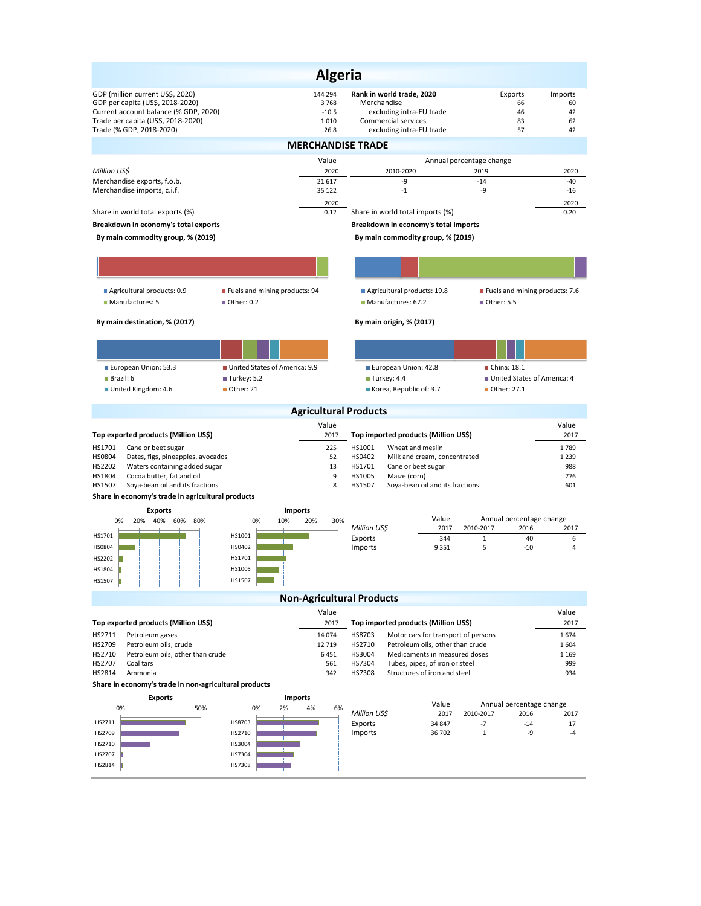|                                                                                                                                                                                 | <b>Algeria</b>                             |                                                                                                                         |                                                  |                                 |  |  |  |  |  |
|---------------------------------------------------------------------------------------------------------------------------------------------------------------------------------|--------------------------------------------|-------------------------------------------------------------------------------------------------------------------------|--------------------------------------------------|---------------------------------|--|--|--|--|--|
| GDP (million current US\$, 2020)<br>GDP per capita (US\$, 2018-2020)<br>Current account balance (% GDP, 2020)<br>Trade per capita (US\$, 2018-2020)<br>Trade (% GDP, 2018-2020) | 144 294<br>3768<br>$-10.5$<br>1010<br>26.8 | Rank in world trade, 2020<br>Merchandise<br>excluding intra-EU trade<br>Commercial services<br>excluding intra-EU trade | Exports<br>66<br>46<br>83<br>57                  | Imports<br>60<br>42<br>62<br>42 |  |  |  |  |  |
| <b>MERCHANDISE TRADE</b>                                                                                                                                                        |                                            |                                                                                                                         |                                                  |                                 |  |  |  |  |  |
| Million US\$                                                                                                                                                                    | Value<br>2020                              | 2010-2020                                                                                                               | Annual percentage change<br>2019                 | 2020                            |  |  |  |  |  |
| Merchandise exports, f.o.b.                                                                                                                                                     | 21 617                                     | -9                                                                                                                      | $-14$                                            | $-40$                           |  |  |  |  |  |
| Merchandise imports, c.i.f.                                                                                                                                                     | 35 122<br>2020                             | $-1$                                                                                                                    | -9                                               | $-16$<br>2020                   |  |  |  |  |  |
| Share in world total exports (%)                                                                                                                                                | 0.12                                       | Share in world total imports (%)                                                                                        |                                                  | 0.20                            |  |  |  |  |  |
| Breakdown in economy's total exports                                                                                                                                            |                                            | Breakdown in economy's total imports                                                                                    |                                                  |                                 |  |  |  |  |  |
| By main commodity group, % (2019)                                                                                                                                               |                                            | By main commodity group, % (2019)                                                                                       |                                                  |                                 |  |  |  |  |  |
|                                                                                                                                                                                 |                                            |                                                                                                                         |                                                  |                                 |  |  |  |  |  |
| Agricultural products: 0.9<br>Manufactures: 5<br>■ Other: 0.2                                                                                                                   | Fuels and mining products: 94              | Agricultural products: 19.8<br>Manufactures: 67.2                                                                       | ■ Fuels and mining products: 7.6<br>■ Other: 5.5 |                                 |  |  |  |  |  |
| By main destination, % (2017)                                                                                                                                                   |                                            | By main origin, % (2017)                                                                                                |                                                  |                                 |  |  |  |  |  |
|                                                                                                                                                                                 |                                            |                                                                                                                         |                                                  |                                 |  |  |  |  |  |
| European Union: 53.3                                                                                                                                                            | United States of America: 9.9              | European Union: 42.8                                                                                                    | China: 18.1                                      |                                 |  |  |  |  |  |
| Brazil: 6<br>Turkey: 5.2                                                                                                                                                        |                                            | Turkey: 4.4                                                                                                             | United States of America: 4                      |                                 |  |  |  |  |  |
| Other: 21<br>United Kingdom: 4.6                                                                                                                                                |                                            | Korea, Republic of: 3.7                                                                                                 | ■ Other: 27.1                                    |                                 |  |  |  |  |  |
|                                                                                                                                                                                 | <b>Agricultural Products</b>               |                                                                                                                         |                                                  |                                 |  |  |  |  |  |
| Top exported products (Million US\$)                                                                                                                                            | Value<br>2017                              | Top imported products (Million US\$)                                                                                    |                                                  | Value<br>2017                   |  |  |  |  |  |
| HS1701<br>Cane or beet sugar                                                                                                                                                    | 225                                        | HS1001<br>Wheat and meslin                                                                                              |                                                  | 1789                            |  |  |  |  |  |
| HS0804<br>Dates, figs, pineapples, avocados<br>HS2202<br>Waters containing added sugar                                                                                          | 52<br>13                                   | HS0402<br>Milk and cream, concentrated<br>HS1701<br>Cane or beet sugar                                                  |                                                  | 1 2 3 9<br>988                  |  |  |  |  |  |
| HS1804<br>Cocoa butter, fat and oil                                                                                                                                             | 9                                          | HS1005<br>Maize (corn)                                                                                                  |                                                  | 776                             |  |  |  |  |  |
| HS1507<br>Soya-bean oil and its fractions<br>Share in economy's trade in agricultural products                                                                                  | 8                                          | HS1507<br>Soya-bean oil and its fractions                                                                               |                                                  | 601                             |  |  |  |  |  |
| <b>Exports</b>                                                                                                                                                                  | <b>Imports</b>                             |                                                                                                                         |                                                  |                                 |  |  |  |  |  |
| 20% 40% 60% 80%<br>0%<br>0%                                                                                                                                                     | 20%<br>30%<br>10%                          | Value<br>Million US\$<br>2017                                                                                           | Annual percentage change<br>2010-2017<br>2016    | 2017                            |  |  |  |  |  |
| HS1001<br>HS1701                                                                                                                                                                |                                            | Exports<br>344                                                                                                          | $\mathbf{1}$<br>40                               | 6                               |  |  |  |  |  |
| HS0402<br>HS0804<br>HS1701                                                                                                                                                      |                                            | Imports<br>9351                                                                                                         | 5<br>$-10$                                       | 4                               |  |  |  |  |  |
| HS2202<br>HS1005<br>HS1804                                                                                                                                                      |                                            |                                                                                                                         |                                                  |                                 |  |  |  |  |  |
| HS1507<br>HS1507                                                                                                                                                                |                                            |                                                                                                                         |                                                  |                                 |  |  |  |  |  |
|                                                                                                                                                                                 | <b>Non-Agricultural Products</b>           |                                                                                                                         |                                                  |                                 |  |  |  |  |  |
|                                                                                                                                                                                 | Value                                      |                                                                                                                         |                                                  | Value                           |  |  |  |  |  |
| Top exported products (Million US\$)<br>HS2711<br>Petroleum gases                                                                                                               | 2017<br>14 074                             | Top imported products (Million US\$)<br>Motor cars for transport of persons<br>HS8703                                   |                                                  | 2017<br>1674                    |  |  |  |  |  |
| HS2709<br>Petroleum oils, crude                                                                                                                                                 | 12 7 19                                    | HS2710<br>Petroleum oils, other than crude                                                                              |                                                  | 1604                            |  |  |  |  |  |
| HS2710<br>Petroleum oils, other than crude<br>HS2707<br>Coal tars                                                                                                               | 6451<br>561                                | HS3004<br>Medicaments in measured doses<br>1 1 6 9<br>HS7304<br>Tubes, pipes, of iron or steel<br>999                   |                                                  |                                 |  |  |  |  |  |
| HS2814<br>Ammonia                                                                                                                                                               | 342                                        | HS7308<br>Structures of iron and steel                                                                                  |                                                  | 934                             |  |  |  |  |  |
| Share in economy's trade in non-agricultural products                                                                                                                           |                                            |                                                                                                                         |                                                  |                                 |  |  |  |  |  |
| <b>Exports</b><br>0%                                                                                                                                                            | Imports<br>2%                              | Value                                                                                                                   | Annual percentage change                         |                                 |  |  |  |  |  |
| 50%<br>0%                                                                                                                                                                       | 4%<br>6%                                   | Million US\$<br>2017                                                                                                    | 2010-2017<br>2016                                | 2017                            |  |  |  |  |  |
| HS2711<br>HS8703<br>HS2709<br>HS2710                                                                                                                                            |                                            | Exports<br>34 847<br>Imports<br>36 702                                                                                  | $-7$<br>$-14$<br>-9<br>$\mathbf{1}$              | 17<br>-4                        |  |  |  |  |  |
| HS3004<br>HS2710                                                                                                                                                                |                                            |                                                                                                                         |                                                  |                                 |  |  |  |  |  |
| HS2707<br>HS7304                                                                                                                                                                |                                            |                                                                                                                         |                                                  |                                 |  |  |  |  |  |
| HS2814<br>HS7308                                                                                                                                                                |                                            |                                                                                                                         |                                                  |                                 |  |  |  |  |  |
|                                                                                                                                                                                 |                                            |                                                                                                                         |                                                  |                                 |  |  |  |  |  |